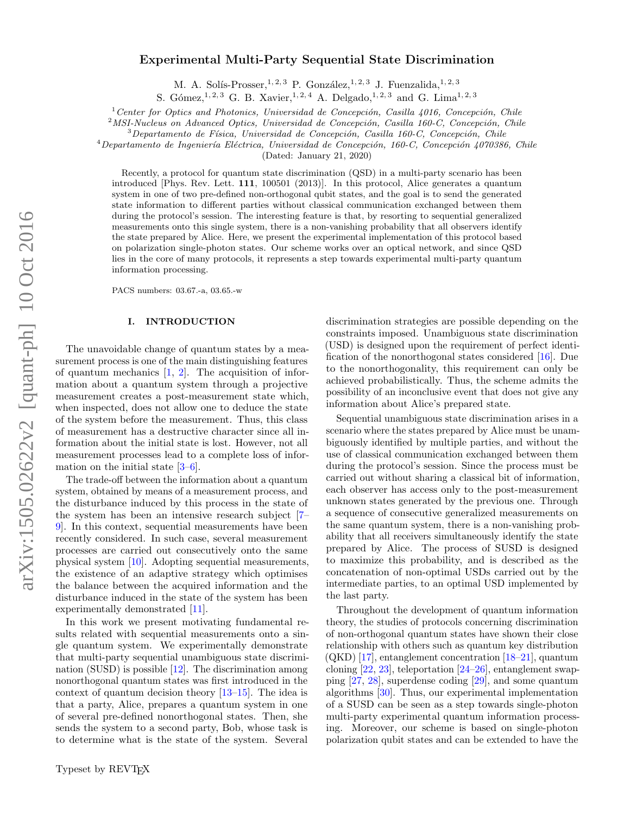# Experimental Multi-Party Sequential State Discrimination

M. A. Solís-Prosser, <sup>1, 2, 3</sup> P. González, <sup>1, 2, 3</sup> J. Fuenzalida, <sup>1, 2, 3</sup>

S. Gómez,<sup>1, 2, 3</sup> G. B. Xavier,<sup>1, 2, 4</sup> A. Delgado,<sup>1, 2, 3</sup> and G. Lima<sup>1, 2, 3</sup>

 $1$  Center for Optics and Photonics, Universidad de Concepción, Casilla 4016, Concepción, Chile

 $2^2$ MSI-Nucleus on Advanced Optics, Universidad de Concepción, Casilla 160-C, Concepción, Chile

 $3$ Departamento de Física, Universidad de Concepción, Casilla 160-C, Concepción, Chile

 $^{4}$ Departamento de Ingeniería Eléctrica, Universidad de Concepción, 160-C, Concepción 4070386, Chile

(Dated: January 21, 2020)

Recently, a protocol for quantum state discrimination (QSD) in a multi-party scenario has been introduced [Phys. Rev. Lett. 111, 100501 (2013)]. In this protocol, Alice generates a quantum system in one of two pre-defined non-orthogonal qubit states, and the goal is to send the generated state information to different parties without classical communication exchanged between them during the protocol's session. The interesting feature is that, by resorting to sequential generalized measurements onto this single system, there is a non-vanishing probability that all observers identify the state prepared by Alice. Here, we present the experimental implementation of this protocol based on polarization single-photon states. Our scheme works over an optical network, and since QSD lies in the core of many protocols, it represents a step towards experimental multi-party quantum information processing.

PACS numbers: 03.67.-a, 03.65.-w

# I. INTRODUCTION

The unavoidable change of quantum states by a measurement process is one of the main distinguishing features of quantum mechanics  $[1, 2]$  $[1, 2]$  $[1, 2]$ . The acquisition of information about a quantum system through a projective measurement creates a post-measurement state which, when inspected, does not allow one to deduce the state of the system before the measurement. Thus, this class of measurement has a destructive character since all information about the initial state is lost. However, not all measurement processes lead to a complete loss of information on the initial state [\[3–](#page-5-2)[6\]](#page-5-3).

The trade-off between the information about a quantum system, obtained by means of a measurement process, and the disturbance induced by this process in the state of the system has been an intensive research subject [\[7–](#page-5-4) [9\]](#page-5-5). In this context, sequential measurements have been recently considered. In such case, several measurement processes are carried out consecutively onto the same physical system [\[10\]](#page-5-6). Adopting sequential measurements, the existence of an adaptive strategy which optimises the balance between the acquired information and the disturbance induced in the state of the system has been experimentally demonstrated [\[11\]](#page-5-7).

In this work we present motivating fundamental results related with sequential measurements onto a single quantum system. We experimentally demonstrate that multi-party sequential unambiguous state discrimination (SUSD) is possible [\[12\]](#page-5-8). The discrimination among nonorthogonal quantum states was first introduced in the context of quantum decision theory [\[13–](#page-5-9)[15\]](#page-5-10). The idea is that a party, Alice, prepares a quantum system in one of several pre-defined nonorthogonal states. Then, she sends the system to a second party, Bob, whose task is to determine what is the state of the system. Several

discrimination strategies are possible depending on the constraints imposed. Unambiguous state discrimination (USD) is designed upon the requirement of perfect identification of the nonorthogonal states considered [\[16\]](#page-5-11). Due to the nonorthogonality, this requirement can only be achieved probabilistically. Thus, the scheme admits the possibility of an inconclusive event that does not give any information about Alice's prepared state.

Sequential unambiguous state discrimination arises in a scenario where the states prepared by Alice must be unambiguously identified by multiple parties, and without the use of classical communication exchanged between them during the protocol's session. Since the process must be carried out without sharing a classical bit of information, each observer has access only to the post-measurement unknown states generated by the previous one. Through a sequence of consecutive generalized measurements on the same quantum system, there is a non-vanishing probability that all receivers simultaneously identify the state prepared by Alice. The process of SUSD is designed to maximize this probability, and is described as the concatenation of non-optimal USDs carried out by the intermediate parties, to an optimal USD implemented by the last party.

Throughout the development of quantum information theory, the studies of protocols concerning discrimination of non-orthogonal quantum states have shown their close relationship with others such as quantum key distribution  $(QKD)$  [\[17\]](#page-5-12), entanglement concentration [\[18](#page-5-13)[–21\]](#page-5-14), quantum cloning [\[22,](#page-5-15) [23\]](#page-5-16), teleportation [\[24–](#page-5-17)[26\]](#page-5-18), entanglement swapping [\[27,](#page-5-19) [28\]](#page-5-20), superdense coding [\[29\]](#page-5-21), and some quantum algorithms [\[30\]](#page-5-22). Thus, our experimental implementation of a SUSD can be seen as a step towards single-photon multi-party experimental quantum information processing. Moreover, our scheme is based on single-photon polarization qubit states and can be extended to have the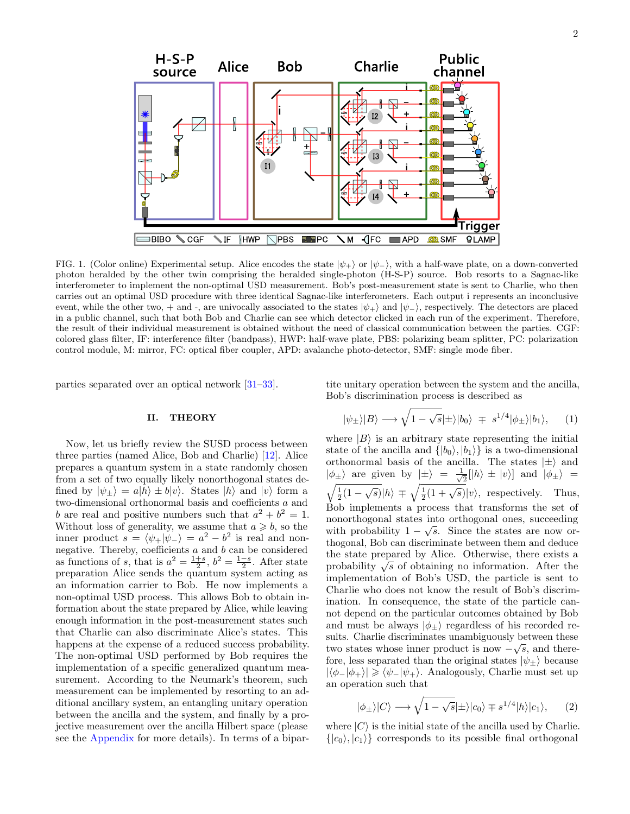

<span id="page-1-2"></span>FIG. 1. (Color online) Experimental setup. Alice encodes the state  $|\psi_+\rangle$  or  $|\psi_-\rangle$ , with a half-wave plate, on a down-converted photon heralded by the other twin comprising the heralded single-photon (H-S-P) source. Bob resorts to a Sagnac-like interferometer to implement the non-optimal USD measurement. Bob's post-measurement state is sent to Charlie, who then carries out an optimal USD procedure with three identical Sagnac-like interferometers. Each output i represents an inconclusive event, while the other two, + and -, are univocally associated to the states  $|\psi_+\rangle$  and  $|\psi_-\rangle$ , respectively. The detectors are placed in a public channel, such that both Bob and Charlie can see which detector clicked in each run of the experiment. Therefore, the result of their individual measurement is obtained without the need of classical communication between the parties. CGF: colored glass filter, IF: interference filter (bandpass), HWP: half-wave plate, PBS: polarizing beam splitter, PC: polarization control module, M: mirror, FC: optical fiber coupler, APD: avalanche photo-detector, SMF: single mode fiber.

parties separated over an optical network [\[31–](#page-5-23)[33\]](#page-5-24).

#### II. THEORY

Now, let us briefly review the SUSD process between three parties (named Alice, Bob and Charlie) [\[12\]](#page-5-8). Alice prepares a quantum system in a state randomly chosen from a set of two equally likely nonorthogonal states defined by  $|\psi_+\rangle = a|h\rangle \pm b|\psi\rangle$ . States  $|h\rangle$  and  $|\psi\rangle$  form a two-dimensional orthonormal basis and coefficients  $\boldsymbol{a}$  and b are real and positive numbers such that  $a^2 + b^2 = 1$ . Without loss of generality, we assume that  $a \geq b$ , so the inner product  $s = \langle \psi_+ | \psi_- \rangle = a^2 - b^2$  is real and nonnegative. Thereby, coefficients a and b can be considered as functions of s, that is  $a^2 = \frac{1+s}{2}$ ,  $b^2 = \frac{1-s}{2}$ . After state preparation Alice sends the quantum system acting as an information carrier to Bob. He now implements a non-optimal USD process. This allows Bob to obtain information about the state prepared by Alice, while leaving enough information in the post-measurement states such that Charlie can also discriminate Alice's states. This happens at the expense of a reduced success probability. The non-optimal USD performed by Bob requires the implementation of a specific generalized quantum measurement. According to the Neumark's theorem, such measurement can be implemented by resorting to an additional ancillary system, an entangling unitary operation between the ancilla and the system, and finally by a projective measurement over the ancilla Hilbert space (please see the [Appendix](#page-4-0) for more details). In terms of a bipartite unitary operation between the system and the ancilla, Bob's discrimination process is described as

<span id="page-1-1"></span>
$$
|\psi_{\pm}\rangle|B\rangle \longrightarrow \sqrt{1-\sqrt{s}}|\pm\rangle|b_0\rangle \mp s^{1/4}|\phi_{\pm}\rangle|b_1\rangle, \quad (1)
$$

where  $|B\rangle$  is an arbitrary state representing the initial state of the ancilla and  $\{|b_0\rangle, |b_1\rangle\}$  is a two-dimensional orthonormal basis of the ancilla. The states  $|\pm\rangle$  and  $|\phi_{\pm}\rangle$  are given by  $|\pm\rangle = \frac{1}{\sqrt{2}}$  $\frac{1}{2}$ [|h\ \times | v\circl{v} and  $|\phi_{\pm}\rangle$  =  $\sqrt{\frac{1}{2}(1-\sqrt{s})}|h\rangle \mp \sqrt{\frac{1}{2}(1+\sqrt{s})}|v\rangle$ , respectively. Thus, Bob implements a process that transforms the set of nonorthogonal states into orthogonal ones, succeeding with probability  $1 - \sqrt{s}$ . Since the states are now orthogonal, Bob can discriminate between them and deduce the state prepared by Alice. Otherwise, there exists a the state prepared by Alice. Otherwise, there exists a probability  $\sqrt{s}$  of obtaining no information. After the implementation of Bob's USD, the particle is sent to Charlie who does not know the result of Bob's discrimination. In consequence, the state of the particle cannot depend on the particular outcomes obtained by Bob and must be always  $|\phi_{\pm}\rangle$  regardless of his recorded results. Charlie discriminates unambiguously between these √ two states whose inner product is now  $-\sqrt{s}$ , and therefore, less separated than the original states  $|\psi_{\pm}\rangle$  because  $|\langle \phi_-|\phi_+\rangle| \geq \langle \psi_-|\psi_+\rangle$ . Analogously, Charlie must set up an operation such that

<span id="page-1-0"></span>
$$
|\phi_{\pm}\rangle|C\rangle \longrightarrow \sqrt{1-\sqrt{s}}|\pm\rangle|c_0\rangle \mp s^{1/4}|h\rangle|c_1\rangle, \qquad (2)
$$

where  $|C\rangle$  is the initial state of the ancilla used by Charlie.  $\{|c_0\rangle, |c_1\rangle\}$  corresponds to its possible final orthogonal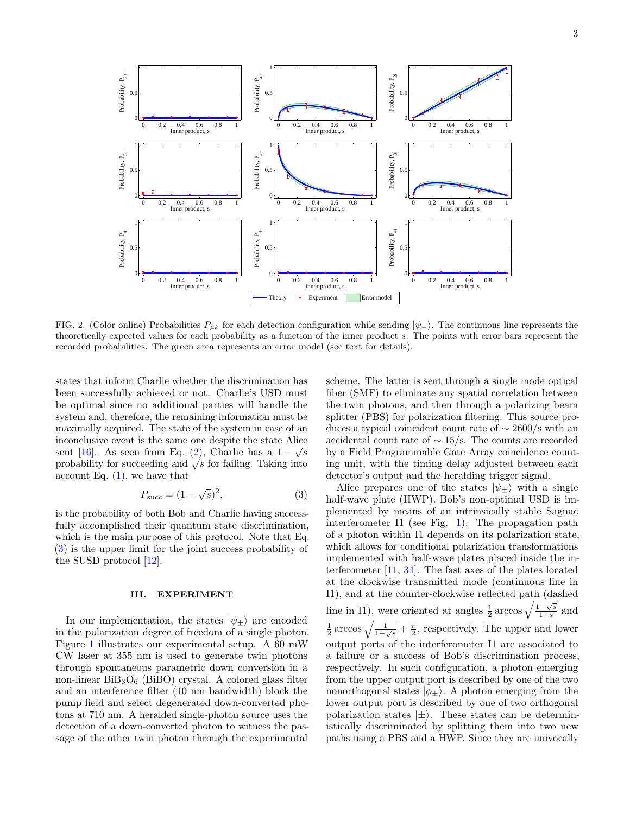

<span id="page-2-1"></span>FIG. 2. (Color online) Probabilities  $P_{\mu k}$  for each detection configuration while sending  $|\psi_{-}\rangle$ . The continuous line represents the theoretically expected values for each probability as a function of the inner product s. The points with error bars represent the recorded probabilities. The green area represents an error model (see text for details).

states that inform Charlie whether the discrimination has been successfully achieved or not. Charlie's USD must be optimal since no additional parties will handle the system and, therefore, the remaining information must be maximally acquired. The state of the system in case of an inconclusive event is the same one despite the state Alice √ sent [\[16\]](#page-5-11). As seen from Eq. [\(2\)](#page-1-0), Charlie has a  $1-\sqrt{s}$ sent [10]. As seen from Eq. (2), Charlie has a  $1 - \sqrt{s}$  probability for succeeding and  $\sqrt{s}$  for failing. Taking into account Eq.  $(1)$ , we have that

$$
P_{\text{succ}} = (1 - \sqrt{s})^2,\t\t(3)
$$

is the probability of both Bob and Charlie having successfully accomplished their quantum state discrimination, which is the main purpose of this protocol. Note that Eq. [\(3\)](#page-2-0) is the upper limit for the joint success probability of the SUSD protocol [\[12\]](#page-5-8).

## III. EXPERIMENT

In our implementation, the states  $|\psi_{+}\rangle$  are encoded in the polarization degree of freedom of a single photon. Figure [1](#page-1-2) illustrates our experimental setup. A 60 mW CW laser at 355 nm is used to generate twin photons through spontaneous parametric down conversion in a non-linear  $BiB_3O_6$  (BiBO) crystal. A colored glass filter and an interference filter (10 nm bandwidth) block the pump field and select degenerated down-converted photons at 710 nm. A heralded single-photon source uses the detection of a down-converted photon to witness the passage of the other twin photon through the experimental

scheme. The latter is sent through a single mode optical fiber (SMF) to eliminate any spatial correlation between the twin photons, and then through a polarizing beam splitter (PBS) for polarization filtering. This source produces a typical coincident count rate of  $\sim$  2600/s with an accidental count rate of ∼ 15/s. The counts are recorded by a Field Programmable Gate Array coincidence counting unit, with the timing delay adjusted between each detector's output and the heralding trigger signal.

<span id="page-2-0"></span>Alice prepares one of the states  $|\psi_{+}\rangle$  with a single half-wave plate (HWP). Bob's non-optimal USD is implemented by means of an intrinsically stable Sagnac interferometer I1 (see Fig. [1\)](#page-1-2). The propagation path of a photon within I1 depends on its polarization state, which allows for conditional polarization transformations implemented with half-wave plates placed inside the interferometer [\[11,](#page-5-7) [34\]](#page-5-25). The fast axes of the plates located at the clockwise transmitted mode (continuous line in I1), and at the counter-clockwise reflected path (dashed line in I1), were oriented at angles  $\frac{1}{2}$  arccos  $\sqrt{\frac{1-\sqrt{s}}{1+s}}$  $\frac{-\sqrt{s}}{1+s}$  and  $\frac{1}{2}$  arccos  $\sqrt{\frac{1}{1+\sqrt{s}}} + \frac{\pi}{2}$ , respectively. The upper and lower output ports of the interferometer I1 are associated to a failure or a success of Bob's discrimination process, respectively. In such configuration, a photon emerging from the upper output port is described by one of the two nonorthogonal states  $|\phi_{\pm}\rangle$ . A photon emerging from the lower output port is described by one of two orthogonal polarization states  $|\pm\rangle$ . These states can be deterministically discriminated by splitting them into two new paths using a PBS and a HWP. Since they are univocally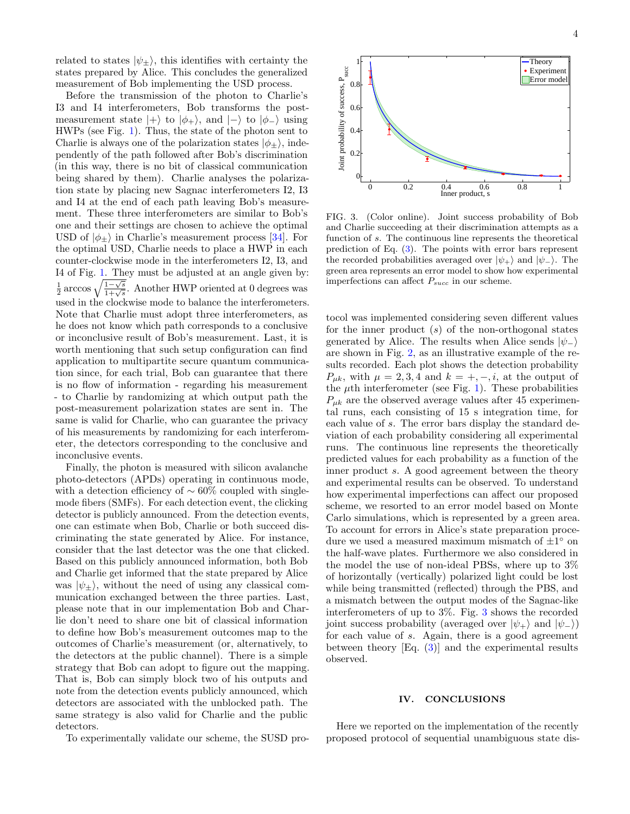related to states  $|\psi_{\pm}\rangle$ , this identifies with certainty the states prepared by Alice. This concludes the generalized measurement of Bob implementing the USD process.

Before the transmission of the photon to Charlie's I3 and I4 interferometers, Bob transforms the postmeasurement state  $|+\rangle$  to  $|\phi_{+}\rangle$ , and  $|-\rangle$  to  $|\phi_{-}\rangle$  using HWPs (see Fig. [1\)](#page-1-2). Thus, the state of the photon sent to Charlie is always one of the polarization states  $|\phi_{+}\rangle$ , independently of the path followed after Bob's discrimination (in this way, there is no bit of classical communication being shared by them). Charlie analyses the polarization state by placing new Sagnac interferometers I2, I3 and I4 at the end of each path leaving Bob's measurement. These three interferometers are similar to Bob's one and their settings are chosen to achieve the optimal USD of  $|\phi_{\pm}\rangle$  in Charlie's measurement process [\[34\]](#page-5-25). For the optimal USD, Charlie needs to place a HWP in each counter-clockwise mode in the interferometers I2, I3, and I4 of Fig. [1.](#page-1-2) They must be adjusted at an angle given by:  $\frac{1}{2}$  arccos  $\sqrt{\frac{1-\sqrt{s}}{1+\sqrt{s}}}$ . Another HWP oriented at 0 degrees was used in the clockwise mode to balance the interferometers. Note that Charlie must adopt three interferometers, as he does not know which path corresponds to a conclusive or inconclusive result of Bob's measurement. Last, it is worth mentioning that such setup configuration can find application to multipartite secure quantum communication since, for each trial, Bob can guarantee that there is no flow of information - regarding his measurement - to Charlie by randomizing at which output path the post-measurement polarization states are sent in. The same is valid for Charlie, who can guarantee the privacy of his measurements by randomizing for each interferometer, the detectors corresponding to the conclusive and inconclusive events.

Finally, the photon is measured with silicon avalanche photo-detectors (APDs) operating in continuous mode, with a detection efficiency of  $\sim 60\%$  coupled with singlemode fibers (SMFs). For each detection event, the clicking detector is publicly announced. From the detection events, one can estimate when Bob, Charlie or both succeed discriminating the state generated by Alice. For instance, consider that the last detector was the one that clicked. Based on this publicly announced information, both Bob and Charlie get informed that the state prepared by Alice was  $|\psi_{+}\rangle$ , without the need of using any classical communication exchanged between the three parties. Last, please note that in our implementation Bob and Charlie don't need to share one bit of classical information to define how Bob's measurement outcomes map to the outcomes of Charlie's measurement (or, alternatively, to the detectors at the public channel). There is a simple strategy that Bob can adopt to figure out the mapping. That is, Bob can simply block two of his outputs and note from the detection events publicly announced, which detectors are associated with the unblocked path. The same strategy is also valid for Charlie and the public detectors.

To experimentally validate our scheme, the SUSD pro-



<span id="page-3-0"></span>FIG. 3. (Color online). Joint success probability of Bob and Charlie succeeding at their discrimination attempts as a function of s. The continuous line represents the theoretical prediction of Eq. [\(3\)](#page-2-0). The points with error bars represent the recorded probabilities averaged over  $|\psi_+\rangle$  and  $|\psi_-\rangle$ . The green area represents an error model to show how experimental imperfections can affect  $P_{succ}$  in our scheme.

tocol was implemented considering seven different values for the inner product  $(s)$  of the non-orthogonal states generated by Alice. The results when Alice sends  $|\psi_-\rangle$ are shown in Fig. [2,](#page-2-1) as an illustrative example of the results recorded. Each plot shows the detection probability  $P_{uk}$ , with  $\mu = 2, 3, 4$  and  $k = +, -, i$ , at the output of the  $\mu$ th interferometer (see Fig. [1\)](#page-1-2). These probabilities  $P_{\mu k}$  are the observed average values after 45 experimental runs, each consisting of 15 s integration time, for each value of s. The error bars display the standard deviation of each probability considering all experimental runs. The continuous line represents the theoretically predicted values for each probability as a function of the inner product s. A good agreement between the theory and experimental results can be observed. To understand how experimental imperfections can affect our proposed scheme, we resorted to an error model based on Monte Carlo simulations, which is represented by a green area. To account for errors in Alice's state preparation procedure we used a measured maximum mismatch of  $\pm 1^{\circ}$  on the half-wave plates. Furthermore we also considered in the model the use of non-ideal PBSs, where up to 3% of horizontally (vertically) polarized light could be lost while being transmitted (reflected) through the PBS, and a mismatch between the output modes of the Sagnac-like interferometers of up to 3%. Fig. [3](#page-3-0) shows the recorded joint success probability (averaged over  $|\psi_+\rangle$  and  $|\psi_-\rangle$ ) for each value of s. Again, there is a good agreement between theory  $[Eq. (3)]$  $[Eq. (3)]$  $[Eq. (3)]$  and the experimental results observed.

#### IV. CONCLUSIONS

Here we reported on the implementation of the recently proposed protocol of sequential unambiguous state dis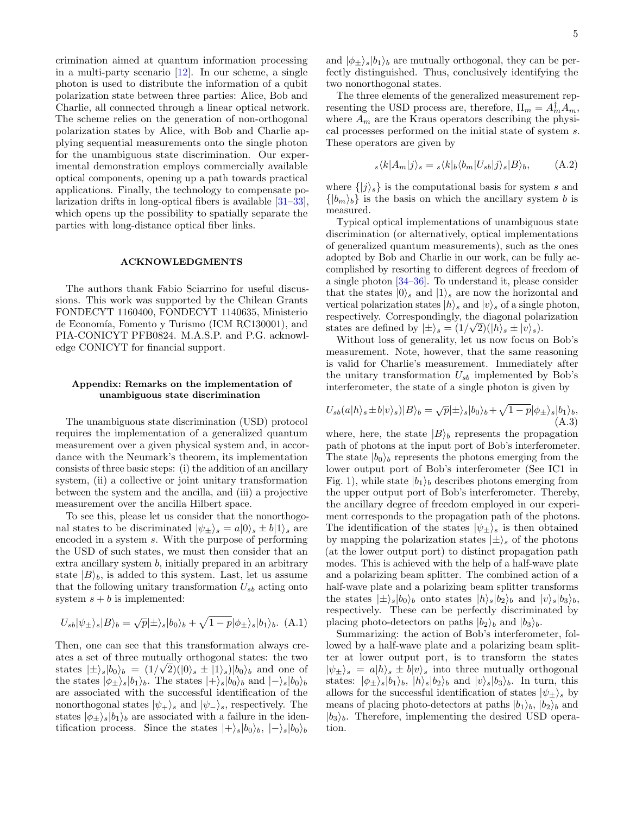crimination aimed at quantum information processing in a multi-party scenario  $[12]$ . In our scheme, a single photon is used to distribute the information of a qubit polarization state between three parties: Alice, Bob and Charlie, all connected through a linear optical network. The scheme relies on the generation of non-orthogonal polarization states by Alice, with Bob and Charlie applying sequential measurements onto the single photon for the unambiguous state discrimination. Our experimental demonstration employs commercially available optical components, opening up a path towards practical applications. Finally, the technology to compensate polarization drifts in long-optical fibers is available [\[31](#page-5-23)[–33\]](#page-5-24), which opens up the possibility to spatially separate the parties with long-distance optical fiber links.

### ACKNOWLEDGMENTS

The authors thank Fabio Sciarrino for useful discussions. This work was supported by the Chilean Grants FONDECYT 1160400, FONDECYT 1140635, Ministerio de Economía, Fomento y Turismo (ICM RC130001), and PIA-CONICYT PFB0824. M.A.S.P. and P.G. acknowledge CONICYT for financial support.

## <span id="page-4-0"></span>Appendix: Remarks on the implementation of unambiguous state discrimination

The unambiguous state discrimination (USD) protocol requires the implementation of a generalized quantum measurement over a given physical system and, in accordance with the Neumark's theorem, its implementation consists of three basic steps: (i) the addition of an ancillary system, (ii) a collective or joint unitary transformation between the system and the ancilla, and (iii) a projective measurement over the ancilla Hilbert space.

To see this, please let us consider that the nonorthogonal states to be discriminated  $|\psi_{+}\rangle_{s} = a|0\rangle_{s} \pm b|1\rangle_{s}$  are encoded in a system s. With the purpose of performing the USD of such states, we must then consider that an extra ancillary system b, initially prepared in an arbitrary state  $|B\rangle_b$ , is added to this system. Last, let us assume that the following unitary transformation  $U_{sb}$  acting onto system  $s + b$  is implemented:

$$
U_{sb}|\psi_{\pm}\rangle_{s}|B\rangle_{b} = \sqrt{p}|\pm\rangle_{s}|b_{0}\rangle_{b} + \sqrt{1-p}|\phi_{\pm}\rangle_{s}|b_{1}\rangle_{b}.
$$
 (A.1)

Then, one can see that this transformation always creates a set of three mutually orthogonal states: the two states  $|\pm\rangle_s|b_0\rangle_b = (1/\sqrt{2})(|0\rangle_s \pm |1\rangle_s)|b_0\rangle_b$  and one of the states  $|\phi_{\pm}\rangle_s|b_1\rangle_b$ . The states  $|+\rangle_s|b_0\rangle_b$  and  $|-\rangle_s|b_0\rangle_b$ are associated with the successful identification of the nonorthogonal states  $|\psi_{+}\rangle_s$  and  $|\psi_{-}\rangle_s$ , respectively. The states  $|\phi_{\pm}\rangle_s|b_1\rangle_b$  are associated with a failure in the identification process. Since the states  $|+\rangle_s|b_0\rangle_b, |-\rangle_s|b_0\rangle_b$ 

and  $|\phi_{\pm}\rangle_s|b_1\rangle_b$  are mutually orthogonal, they can be perfectly distinguished. Thus, conclusively identifying the two nonorthogonal states.

The three elements of the generalized measurement representing the USD process are, therefore,  $\Pi_m = A_m^{\dagger} A_m$ , where  $A_m$  are the Kraus operators describing the physical processes performed on the initial state of system s. These operators are given by

$$
s \langle k | A_m | j \rangle_s = s \langle k | b \langle b_m | U_{sb} | j \rangle_s | B \rangle_b, \tag{A.2}
$$

where  $\{|j\rangle_s\}$  is the computational basis for system s and  $\{|b_m\rangle_b\}$  is the basis on which the ancillary system b is measured.

Typical optical implementations of unambiguous state discrimination (or alternatively, optical implementations of generalized quantum measurements), such as the ones adopted by Bob and Charlie in our work, can be fully accomplished by resorting to different degrees of freedom of a single photon [\[34](#page-5-25)[–36\]](#page-5-26). To understand it, please consider that the states  $|0\rangle_s$  and  $|1\rangle_s$  are now the horizontal and vertical polarization states  $|h\rangle_s$  and  $|v\rangle_s$  of a single photon, respectively. Correspondingly, the diagonal polarization states are defined by  $|\pm\rangle_s = (1/\sqrt{2})(|h\rangle_s \pm |v\rangle_s).$ 

Without loss of generality, let us now focus on Bob's measurement. Note, however, that the same reasoning is valid for Charlie's measurement. Immediately after the unitary transformation  $U_{sb}$  implemented by Bob's interferometer, the state of a single photon is given by

$$
U_{sb}(a|h\rangle_s \pm b|v\rangle_s)|B\rangle_b = \sqrt{p}|\pm\rangle_s |b_0\rangle_b + \sqrt{1-p}|\phi_{\pm}\rangle_s |b_1\rangle_b,
$$
\n(A.3)

where, here, the state  $|B\rangle_b$  represents the propagation path of photons at the input port of Bob's interferometer. The state  $|b_0\rangle_b$  represents the photons emerging from the lower output port of Bob's interferometer (See IC1 in Fig. 1), while state  $|b_1\rangle_b$  describes photons emerging from the upper output port of Bob's interferometer. Thereby, the ancillary degree of freedom employed in our experiment corresponds to the propagation path of the photons. The identification of the states  $|\psi_{\pm}\rangle_s$  is then obtained by mapping the polarization states  $|\pm\rangle$ , of the photons (at the lower output port) to distinct propagation path modes. This is achieved with the help of a half-wave plate and a polarizing beam splitter. The combined action of a half-wave plate and a polarizing beam splitter transforms the states  $|\pm\rangle_s|b_0\rangle_b$  onto states  $|h\rangle_s|b_2\rangle_b$  and  $|v\rangle_s|b_3\rangle_b$ , respectively. These can be perfectly discriminated by placing photo-detectors on paths  $|b_2\rangle_b$  and  $|b_3\rangle_b$ .

Summarizing: the action of Bob's interferometer, followed by a half-wave plate and a polarizing beam splitter at lower output port, is to transform the states  $|\psi_{+}\rangle_{s} = a|h\rangle_{s} \pm b|v\rangle_{s}$  into three mutually orthogonal states:  $|\phi_{\pm}\rangle_s|b_1\rangle_b$ ,  $|h\rangle_s|b_2\rangle_b$  and  $|v\rangle_s|b_3\rangle_b$ . In turn, this allows for the successful identification of states  $|\psi_{\pm}\rangle_s$  by means of placing photo-detectors at paths  $|b_1\rangle_b$ ,  $|b_2\rangle_b$  and  $|b_3\rangle_b$ . Therefore, implementing the desired USD operation.